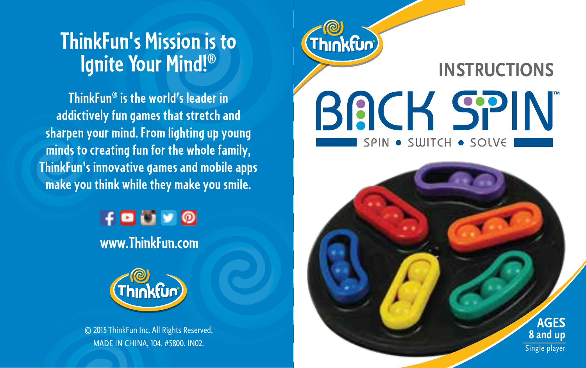## **ThinkFun's Mission is to Ignite Your Mind!®**

**ThinkFun® is the world's leader in addictively fun games that stretch and sharpen your mind. From lighting up young minds to creating fun for the whole family, ThinkFun's innovative games and mobile apps make you think while they make you smile.**

> $H$ D $N$  O **www.ThinkFun.com**



© 2015 ThinkFun Inc. All Rights Reserved. MADE IN CHINA, 104. #5800. IN02.